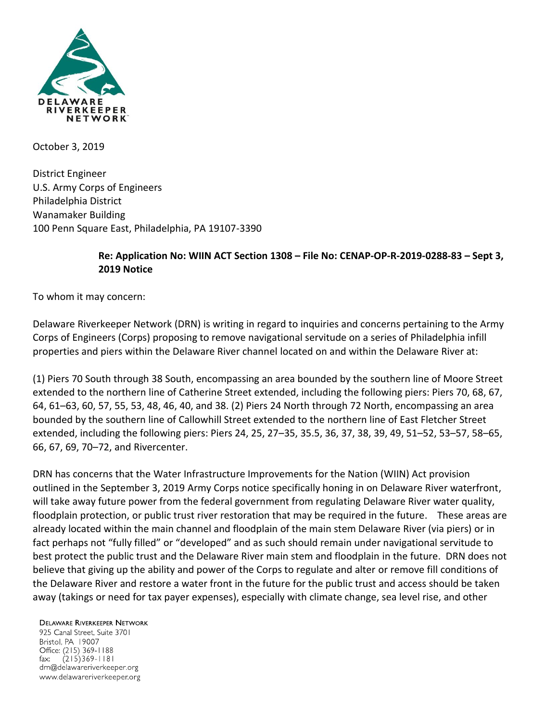

October 3, 2019

District Engineer U.S. Army Corps of Engineers Philadelphia District Wanamaker Building 100 Penn Square East, Philadelphia, PA 19107-3390

## **Re: Application No: WIIN ACT Section 1308 – File No: CENAP-OP-R-2019-0288-83 – Sept 3, 2019 Notice**

To whom it may concern:

Delaware Riverkeeper Network (DRN) is writing in regard to inquiries and concerns pertaining to the Army Corps of Engineers (Corps) proposing to remove navigational servitude on a series of Philadelphia infill properties and piers within the Delaware River channel located on and within the Delaware River at:

(1) Piers 70 South through 38 South, encompassing an area bounded by the southern line of Moore Street extended to the northern line of Catherine Street extended, including the following piers: Piers 70, 68, 67, 64, 61–63, 60, 57, 55, 53, 48, 46, 40, and 38. (2) Piers 24 North through 72 North, encompassing an area bounded by the southern line of Callowhill Street extended to the northern line of East Fletcher Street extended, including the following piers: Piers 24, 25, 27–35, 35.5, 36, 37, 38, 39, 49, 51–52, 53–57, 58–65, 66, 67, 69, 70–72, and Rivercenter.

DRN has concerns that the Water Infrastructure Improvements for the Nation (WIIN) Act provision outlined in the September 3, 2019 Army Corps notice specifically honing in on Delaware River waterfront, will take away future power from the federal government from regulating Delaware River water quality, floodplain protection, or public trust river restoration that may be required in the future. These areas are already located within the main channel and floodplain of the main stem Delaware River (via piers) or in fact perhaps not "fully filled" or "developed" and as such should remain under navigational servitude to best protect the public trust and the Delaware River main stem and floodplain in the future. DRN does not believe that giving up the ability and power of the Corps to regulate and alter or remove fill conditions of the Delaware River and restore a water front in the future for the public trust and access should be taken away (takings or need for tax payer expenses), especially with climate change, sea level rise, and other

**DELAWARE RIVERKEEPER NETWORK** 

925 Canal Street, Suite 3701 Bristol, PA 19007 Office: (215) 369-1188  $(215)369 - 1181$ fax: drn@delawareriverkeeper.org www.delawareriverkeeper.org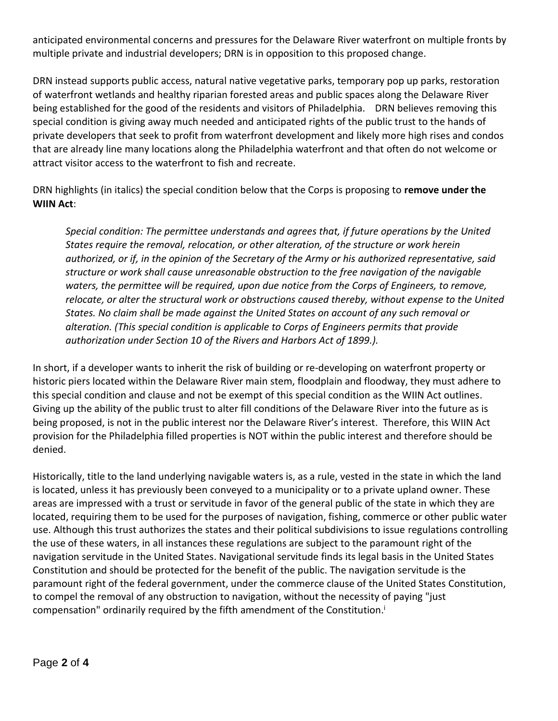anticipated environmental concerns and pressures for the Delaware River waterfront on multiple fronts by multiple private and industrial developers; DRN is in opposition to this proposed change.

DRN instead supports public access, natural native vegetative parks, temporary pop up parks, restoration of waterfront wetlands and healthy riparian forested areas and public spaces along the Delaware River being established for the good of the residents and visitors of Philadelphia. DRN believes removing this special condition is giving away much needed and anticipated rights of the public trust to the hands of private developers that seek to profit from waterfront development and likely more high rises and condos that are already line many locations along the Philadelphia waterfront and that often do not welcome or attract visitor access to the waterfront to fish and recreate.

DRN highlights (in italics) the special condition below that the Corps is proposing to **remove under the WIIN Act**:

*Special condition: The permittee understands and agrees that, if future operations by the United States require the removal, relocation, or other alteration, of the structure or work herein authorized, or if, in the opinion of the Secretary of the Army or his authorized representative, said structure or work shall cause unreasonable obstruction to the free navigation of the navigable waters, the permittee will be required, upon due notice from the Corps of Engineers, to remove, relocate, or alter the structural work or obstructions caused thereby, without expense to the United States. No claim shall be made against the United States on account of any such removal or alteration. (This special condition is applicable to Corps of Engineers permits that provide authorization under Section 10 of the Rivers and Harbors Act of 1899.).* 

In short, if a developer wants to inherit the risk of building or re-developing on waterfront property or historic piers located within the Delaware River main stem, floodplain and floodway, they must adhere to this special condition and clause and not be exempt of this special condition as the WIIN Act outlines. Giving up the ability of the public trust to alter fill conditions of the Delaware River into the future as is being proposed, is not in the public interest nor the Delaware River's interest. Therefore, this WIIN Act provision for the Philadelphia filled properties is NOT within the public interest and therefore should be denied.

Historically, title to the land underlying navigable waters is, as a rule, vested in the state in which the land is located, unless it has previously been conveyed to a municipality or to a private upland owner. These areas are impressed with a trust or servitude in favor of the general public of the state in which they are located, requiring them to be used for the purposes of navigation, fishing, commerce or other public water use. Although this trust authorizes the states and their political subdivisions to issue regulations controlling the use of these waters, in all instances these regulations are subject to the paramount right of the navigation servitude in the United States. Navigational servitude finds its legal basis in the United States Constitution and should be protected for the benefit of the public. The navigation servitude is the paramount right of the federal government, under the commerce clause of the United States Constitution, to compel the removal of any obstruction to navigation, without the necessity of paying "just compensation" ordinarily required by the fifth amendment of the Constitution. i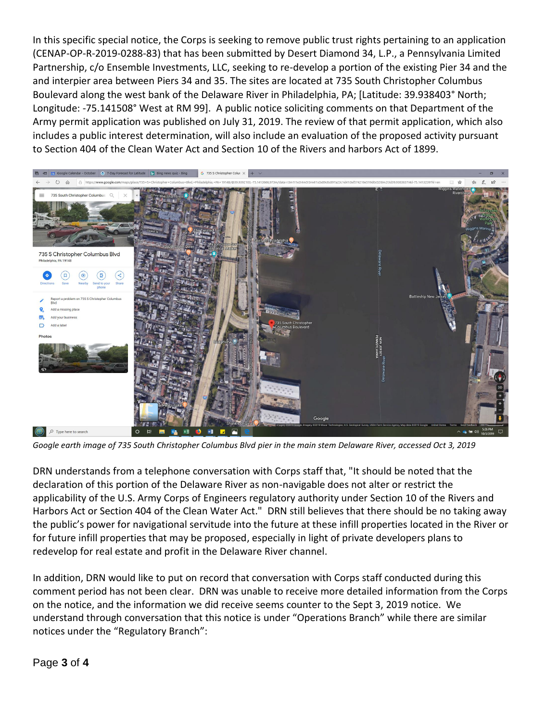In this specific special notice, the Corps is seeking to remove public trust rights pertaining to an application (CENAP-OP-R-2019-0288-83) that has been submitted by Desert Diamond 34, L.P., a Pennsylvania Limited Partnership, c/o Ensemble Investments, LLC, seeking to re-develop a portion of the existing Pier 34 and the and interpier area between Piers 34 and 35. The sites are located at 735 South Christopher Columbus Boulevard along the west bank of the Delaware River in Philadelphia, PA; [Latitude: 39.938403° North; Longitude: -75.141508° West at RM 99]. A public notice soliciting comments on that Department of the Army permit application was published on July 31, 2019. The review of that permit application, which also includes a public interest determination, will also include an evaluation of the proposed activity pursuant to Section 404 of the Clean Water Act and Section 10 of the Rivers and harbors Act of 1899.



*Google earth image of 735 South Christopher Columbus Blvd pier in the main stem Delaware River, accessed Oct 3, 2019*

DRN understands from a telephone conversation with Corps staff that, "It should be noted that the declaration of this portion of the Delaware River as non-navigable does not alter or restrict the applicability of the U.S. Army Corps of Engineers regulatory authority under Section 10 of the Rivers and Harbors Act or Section 404 of the Clean Water Act." DRN still believes that there should be no taking away the public's power for navigational servitude into the future at these infill properties located in the River or for future infill properties that may be proposed, especially in light of private developers plans to redevelop for real estate and profit in the Delaware River channel.

In addition, DRN would like to put on record that conversation with Corps staff conducted during this comment period has not been clear. DRN was unable to receive more detailed information from the Corps on the notice, and the information we did receive seems counter to the Sept 3, 2019 notice. We understand through conversation that this notice is under "Operations Branch" while there are similar notices under the "Regulatory Branch":